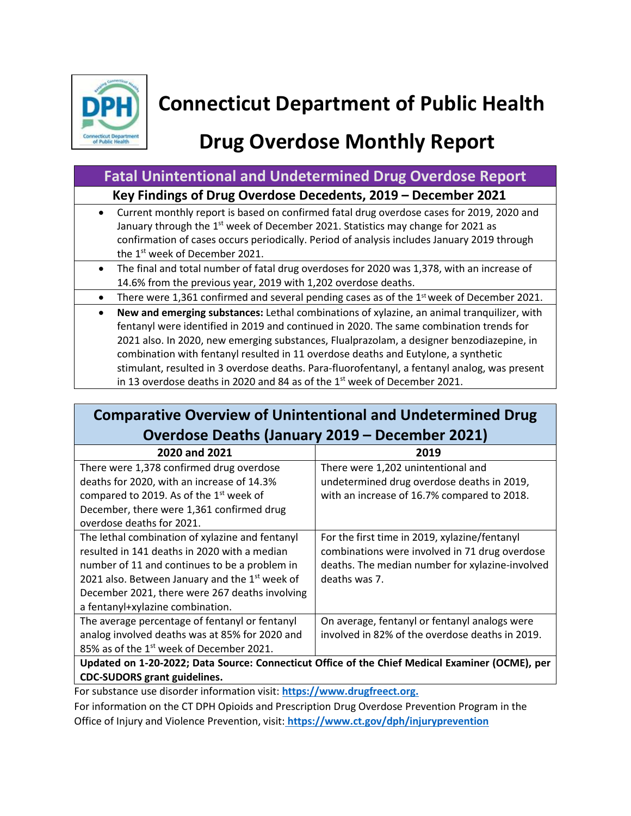

# **Connecticut Department of Public Health**

# **Drug Overdose Monthly Report**

#### **Fatal Unintentional and Undetermined Drug Overdose Report**

#### **Key Findings of Drug Overdose Decedents, 2019 – December 2021**

- Current monthly report is based on confirmed fatal drug overdose cases for 2019, 2020 and January through the 1<sup>st</sup> week of December 2021. Statistics may change for 2021 as confirmation of cases occurs periodically. Period of analysis includes January 2019 through the 1<sup>st</sup> week of December 2021.
- The final and total number of fatal drug overdoses for 2020 was 1,378, with an increase of 14.6% from the previous year, 2019 with 1,202 overdose deaths.
- There were 1,361 confirmed and several pending cases as of the  $1<sup>st</sup>$  week of December 2021.
- **New and emerging substances:** Lethal combinations of xylazine, an animal tranquilizer, with fentanyl were identified in 2019 and continued in 2020. The same combination trends for 2021 also. In 2020, new emerging substances, Flualprazolam, a designer benzodiazepine, in combination with fentanyl resulted in 11 overdose deaths and Eutylone, a synthetic stimulant, resulted in 3 overdose deaths. Para-fluorofentanyl, a fentanyl analog, was present in 13 overdose deaths in 2020 and 84 as of the  $1<sup>st</sup>$  week of December 2021.

## **Comparative Overview of Unintentional and Undetermined Drug Overdose Deaths (January 2019 – December 2021)**

| 2020 and 2021                                                                                   | 2019                                            |
|-------------------------------------------------------------------------------------------------|-------------------------------------------------|
| There were 1,378 confirmed drug overdose                                                        | There were 1,202 unintentional and              |
| deaths for 2020, with an increase of 14.3%                                                      | undetermined drug overdose deaths in 2019,      |
| compared to 2019. As of the 1 <sup>st</sup> week of                                             | with an increase of 16.7% compared to 2018.     |
| December, there were 1,361 confirmed drug                                                       |                                                 |
| overdose deaths for 2021.                                                                       |                                                 |
| The lethal combination of xylazine and fentanyl                                                 | For the first time in 2019, xylazine/fentanyl   |
| resulted in 141 deaths in 2020 with a median                                                    | combinations were involved in 71 drug overdose  |
| number of 11 and continues to be a problem in                                                   | deaths. The median number for xylazine-involved |
| 2021 also. Between January and the 1 <sup>st</sup> week of                                      | deaths was 7.                                   |
| December 2021, there were 267 deaths involving                                                  |                                                 |
| a fentanyl+xylazine combination.                                                                |                                                 |
| The average percentage of fentanyl or fentanyl                                                  | On average, fentanyl or fentanyl analogs were   |
| analog involved deaths was at 85% for 2020 and                                                  | involved in 82% of the overdose deaths in 2019. |
| 85% as of the 1 <sup>st</sup> week of December 2021.                                            |                                                 |
| Updated on 1-20-2022; Data Source: Connecticut Office of the Chief Medical Examiner (OCME), per |                                                 |

**CDC-SUDORS grant guidelines.**

For substance use disorder information visit: **https://www.drugfreect.org.**

For information on the CT DPH Opioids and Prescription Drug Overdose Prevention Program in the Office of Injury and Violence Prevention, visit: **<https://www.ct.gov/dph/injuryprevention>**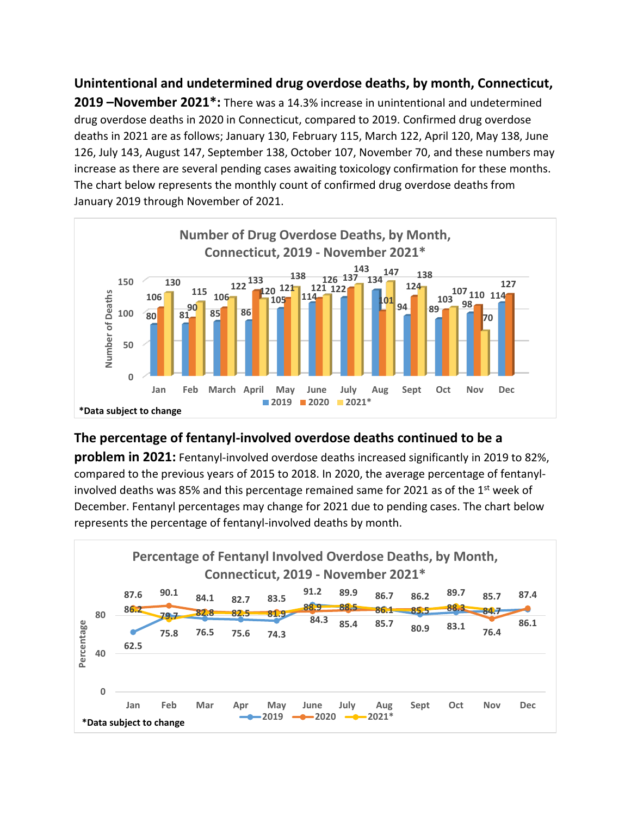**Unintentional and undetermined drug overdose deaths, by month, Connecticut, 2019 –November 2021\*:** There was a 14.3% increase in unintentional and undetermined drug overdose deaths in 2020 in Connecticut, compared to 2019. Confirmed drug overdose deaths in 2021 are as follows; January 130, February 115, March 122, April 120, May 138, June 126, July 143, August 147, September 138, October 107, November 70, and these numbers may increase as there are several pending cases awaiting toxicology confirmation for these months. The chart below represents the monthly count of confirmed drug overdose deaths from January 2019 through November of 2021.



#### **The percentage of fentanyl-involved overdose deaths continued to be a**

**problem in 2021:** Fentanyl-involved overdose deaths increased significantly in 2019 to 82%, compared to the previous years of 2015 to 2018. In 2020, the average percentage of fentanylinvolved deaths was 85% and this percentage remained same for 2021 as of the 1<sup>st</sup> week of December. Fentanyl percentages may change for 2021 due to pending cases. The chart below represents the percentage of fentanyl-involved deaths by month.

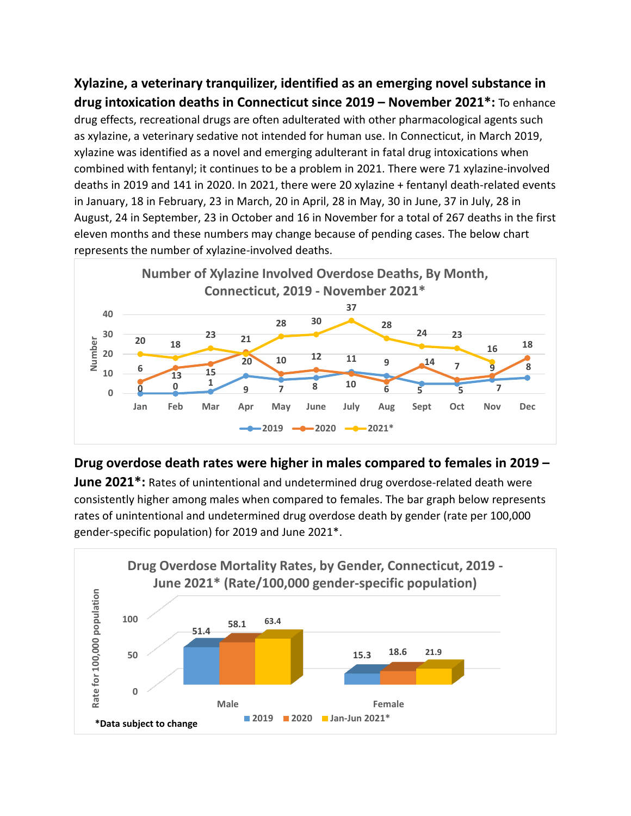**Xylazine, a veterinary tranquilizer, identified as an emerging novel substance in drug intoxication deaths in Connecticut since 2019 – November 2021\*:** To enhance drug effects, recreational drugs are often adulterated with other pharmacological agents such as xylazine, a veterinary sedative not intended for human use. In Connecticut, in March 2019, xylazine was identified as a novel and emerging adulterant in fatal drug intoxications when combined with fentanyl; it continues to be a problem in 2021. There were 71 xylazine-involved deaths in 2019 and 141 in 2020. In 2021, there were 20 xylazine + fentanyl death-related events in January, 18 in February, 23 in March, 20 in April, 28 in May, 30 in June, 37 in July, 28 in August, 24 in September, 23 in October and 16 in November for a total of 267 deaths in the first eleven months and these numbers may change because of pending cases. The below chart represents the number of xylazine-involved deaths.



#### **Drug overdose death rates were higher in males compared to females in 2019 –**

**June 2021\*:** Rates of unintentional and undetermined drug overdose-related death were consistently higher among males when compared to females. The bar graph below represents rates of unintentional and undetermined drug overdose death by gender (rate per 100,000 gender-specific population) for 2019 and June 2021\*.

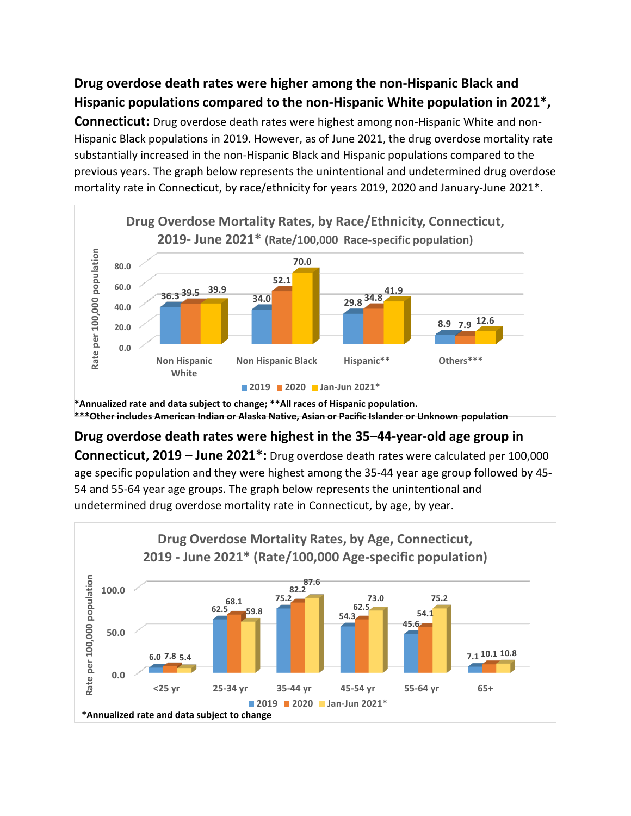### **Drug overdose death rates were higher among the non-Hispanic Black and Hispanic populations compared to the non-Hispanic White population in 2021\*,**

**Connecticut:** Drug overdose death rates were highest among non-Hispanic White and non-Hispanic Black populations in 2019. However, as of June 2021, the drug overdose mortality rate substantially increased in the non-Hispanic Black and Hispanic populations compared to the previous years. The graph below represents the unintentional and undetermined drug overdose mortality rate in Connecticut, by race/ethnicity for years 2019, 2020 and January-June 2021\*.



**\*Annualized rate and data subject to change; \*\*All races of Hispanic population. \*\*\*Other includes American Indian or Alaska Native, Asian or Pacific Islander or Unknown population**

### **Drug overdose death rates were highest in the 35–44-year-old age group in**

**Connecticut, 2019 – June 2021\*:** Drug overdose death rates were calculated per 100,000 age specific population and they were highest among the 35-44 year age group followed by 45- 54 and 55-64 year age groups. The graph below represents the unintentional and undetermined drug overdose mortality rate in Connecticut, by age, by year.